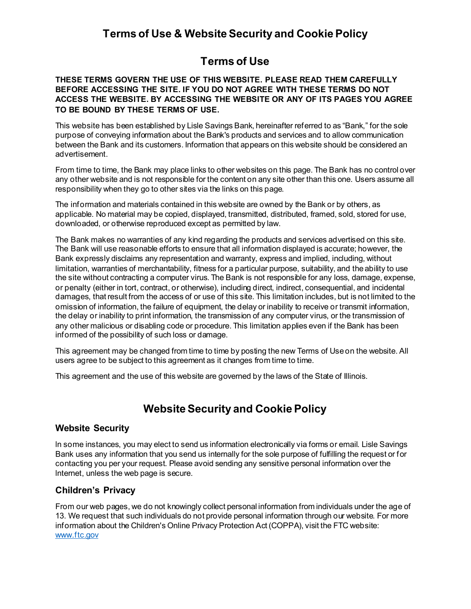## **Terms of Use & Website Security and Cookie Policy**

## **Terms of Use**

#### **THESE TERMS GOVERN THE USE OF THIS WEBSITE. PLEASE READ THEM CAREFULLY BEFORE ACCESSING THE SITE. IF YOU DO NOT AGREE WITH THESE TERMS DO NOT ACCESS THE WEBSITE. BY ACCESSING THE WEBSITE OR ANY OF ITS PAGES YOU AGREE TO BE BOUND BY THESE TERMS OF USE.**

This website has been established by Lisle Savings Bank, hereinafter referred to as "Bank," for the sole purpose of conveying information about the Bank's products and services and to allow communication between the Bank and its customers. Information that appears on this website should be considered an advertisement.

From time to time, the Bank may place links to other websites on this page. The Bank has no control over any other website and is not responsible for the content on any site other than this one. Users assume all responsibility when they go to other sites via the links on this page.

The information and materials contained in this website are owned by the Bank or by others, as applicable. No material may be copied, displayed, transmitted, distributed, framed, sold, stored for use, downloaded, or otherwise reproduced except as permitted by law.

The Bank makes no warranties of any kind regarding the products and services advertised on this site. The Bank will use reasonable efforts to ensure that all information displayed is accurate; however, the Bank expressly disclaims any representation and warranty, express and implied, including, without limitation, warranties of merchantability, fitness for a particular purpose, suitability, and the ability to use the site without contracting a computer virus. The Bank is not responsible for any loss, damage, expense, or penalty (either in tort, contract, or otherwise), including direct, indirect, consequential, and incidental damages, that result from the access of or use of this site. This limitation includes, but is not limited to the omission of information, the failure of equipment, the delay or inability to receive or transmit information, the delay or inability to print information, the transmission of any computer virus, or the transmission of any other malicious or disabling code or procedure. This limitation applies even if the Bank has been informed of the possibility of such loss or damage.

This agreement may be changed from time to time by posting the new Terms of Use on the website. All users agree to be subject to this agreement as it changes from time to time.

This agreement and the use of this website are governed by the laws of the State of Illinois.

# **Website Security and Cookie Policy**

#### **Website Security**

ln some instances, you may elect to send us information electronically via forms or email. Lisle Savings Bank uses any information that you send us internally for the sole purpose of fulfilling the request or for contacting you per your request. Please avoid sending any sensitive personal information over the lnternet, unless the web page is secure.

#### **Children's Privacy**

From our web pages, we do not knowingly collect personal information from individuals under the age of 13. We request that such individuals do not provide personal information through our website. For more information about the Children's Online Privacy Protection Act (COPPA), visit the FTC website: [www.ftc.gov](http://www.ftc.gov/)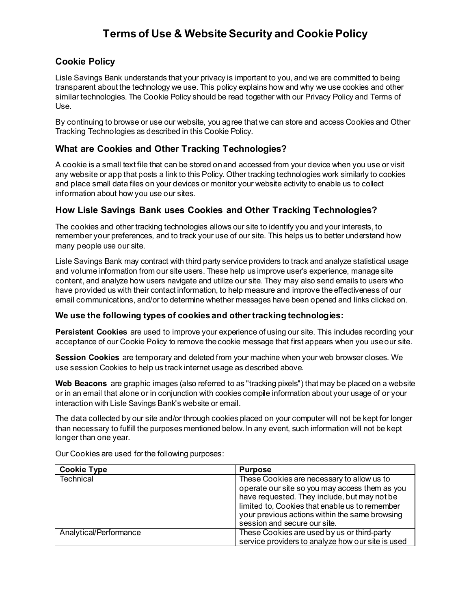# **Terms of Use & Website Security and Cookie Policy**

### **Cookie Policy**

Lisle Savings Bank understands that your privacy is important to you, and we are committed to being transparent about the technology we use. This policy explains how and why we use cookies and other similar technologies. The Cookie Policy should be read together with our Privacy Policy and Terms of Use.

By continuing to browse or use our website, you agree that we can store and access Cookies and Other Tracking Technologies as described in this Cookie Policy.

### **What are Cookies and Other Tracking Technologies?**

A cookie is a small text file that can be stored on and accessed from your device when you use or visit any website or app that posts a link to this Policy. Other tracking technologies work similarly to cookies and place small data files on your devices or monitor your website activity to enable us to collect information about how you use our sites.

### **How Lisle Savings Bank uses Cookies and Other Tracking Technologies?**

The cookies and other tracking technologies allows our site to identify you and your interests, to remember your preferences, and to track your use of our site. This helps us to better understand how many people use our site.

Lisle Savings Bank may contract with third party service providers to track and analyze statistical usage and volume information from our site users. These help us improve user's experience, manage site content, and analyze how users navigate and utilize our site. They may also send emails to users who have provided us with their contact information, to help measure and improve the effectiveness of our email communications, and/or to determine whether messages have been opened and links clicked on.

#### **We use the following types of cookies and other tracking technologies:**

**Persistent Cookies** are used to improve your experience of using our site. This includes recording your acceptance of our Cookie Policy to remove the cookie message that first appears when you use our site.

**Session Cookies** are temporary and deleted from your machine when your web browser closes. We use session Cookies to help us track internet usage as described above.

**Web Beacons** are graphic images (also referred to as "tracking pixels") that may be placed on a website or in an email that alone or in conjunction with cookies compile information about your usage of or your interaction with Lisle Savings Bank's website or email.

The data collected by our site and/or through cookies placed on your computer will not be kept for longer than necessary to fulfill the purposes mentioned below. ln any event, such information will not be kept longer than one year.

| <b>Cookie Type</b>     | <b>Purpose</b>                                    |
|------------------------|---------------------------------------------------|
| <b>Technical</b>       | These Cookies are necessary to allow us to        |
|                        | operate our site so you may access them as you    |
|                        | have requested. They include, but may not be      |
|                        | limited to, Cookies that enable us to remember    |
|                        | your previous actions within the same browsing    |
|                        | session and secure our site.                      |
| Analytical/Performance | These Cookies are used by us or third-party       |
|                        | service providers to analyze how our site is used |

Our Cookies are used for the following purposes: